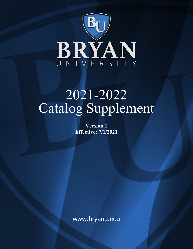

# 2021-2022 Catalog Supplement

**Version 1 Effective: 7/1/2021**

www.bryanu.edu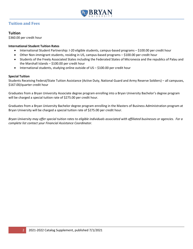

# **Tuition and Fees**

# **Tuition**

\$360.00 per credit hour

## **International Student Tuition Rates**

- International Student Partnership: I-20 eligible students, campus-based programs \$100.00 per credit hour
- Other Non-immigrant students, residing in US, campus-based programs \$100.00 per credit hour
- Students of the Freely Associated States including the Federated States of Micronesia and the republics of Palau and the Marshall Islands – \$100.00 per credit hour
- International students, studying online outside of US \$100.00 per credit hour

### **Special Tuition**

Students Receiving Federal/State Tuition Assistance (Active Duty, National Guard and Army Reserve Soldiers) – all campuses, \$167.00/quarter credit hour

Graduates from a Bryan University Associate degree program enrolling into a Bryan University Bachelor's degree program will be charged a special tuition rate of \$275.00 per credit hour.

Graduates from a Bryan University Bachelor degree program enrolling in the Masters of Business Administration program at Bryan University will be charged a special tuition rate of \$275.00 per credit hour.

*Bryan University may offer special tuition rates to eligible individuals associated with affiliated businesses or agencies. For a complete list contact your Financial Assistance Coordinator.*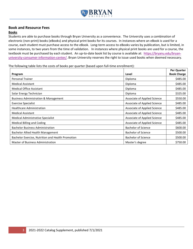

# **Book and Resource Fees**

## **Books**

Students are able to purchase books through Bryan University as a convenience. The University uses a combination of electronic (non-print) books (eBooks) and physical print books for its courses. In instances where an eBook is used for a course, each student must purchase access to the eBook. Long-term access to eBooks varies by publication, but is limited, in some instances, to two years from the time of validation. In instances where physical print books are used for a course, the textbook must be purchased by each student. An up-to-date book list by course is available at: [https://bryanu.edu/bryan](https://bryanu.edu/bryan-university-consumer-information-center/)[university-consumer-information-center/.](https://bryanu.edu/bryan-university-consumer-information-center/) Bryan University reserves the right to issue used books when deemed necessary.

The following table lists the costs of books per quarter (based upon full-time enrollment):

|                                                   |                              | Per Quarter        |
|---------------------------------------------------|------------------------------|--------------------|
| Program                                           | Level                        | <b>Book Charge</b> |
| <b>Personal Trainer</b>                           | Diploma                      | \$485.00           |
| <b>Medical Assistant</b>                          | Diploma                      | \$485.00           |
| <b>Medical Office Assistant</b>                   | Diploma                      | \$485.00           |
| Solar Energy Technician                           | Diploma                      | \$325.00           |
| <b>Business Administration &amp; Management</b>   | Associate of Applied Science | \$550.00           |
| <b>Exercise Specialist</b>                        | Associate of Applied Science | \$485.00           |
| <b>Healthcare Administration</b>                  | Associate of Applied Science | \$485.00           |
| <b>Medical Assistant</b>                          | Associate of Applied Science | \$485.00           |
| Medical Administrative Specialist                 | Associate of Applied Science | \$485.00           |
| <b>Medical Billing and Coding</b>                 | Associate of Applied Science | \$485.00           |
| <b>Bachelor Business Administration</b>           | <b>Bachelor of Science</b>   | \$600.00           |
| Bachelor Allied Health Management                 | <b>Bachelor of Science</b>   | \$500.00           |
| Bachelor Exercise, Nutrition and Health Promotion | <b>Bachelor of Science</b>   | \$500.00           |
| Master of Business Administration                 | Master's degree              | \$750.00           |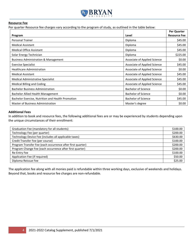

#### **Resource Fee**

Per quarter Resource fee charges vary according to the program of study, as outlined in the table below:

|                                                   |                              | Per Quarter         |
|---------------------------------------------------|------------------------------|---------------------|
| Program                                           | Level                        | <b>Resource Fee</b> |
| <b>Personal Trainer</b>                           | Diploma                      | \$45.00             |
| <b>Medical Assistant</b>                          | Diploma                      | \$45.00             |
| <b>Medical Office Assistant</b>                   | Diploma                      | \$45.00             |
| Solar Energy Technician                           | Diploma                      | \$225.00            |
| <b>Business Administration &amp; Management</b>   | Associate of Applied Science | \$0.00              |
| <b>Exercise Specialist</b>                        | Associate of Applied Science | \$45.00             |
| <b>Healthcare Administration</b>                  | Associate of Applied Science | \$0.00              |
| <b>Medical Assistant</b>                          | Associate of Applied Science | \$45.00             |
| <b>Medical Administrative Specialist</b>          | Associate of Applied Science | \$45.00             |
| <b>Medical Billing and Coding</b>                 | Associate of Applied Science | \$45.00             |
| <b>Bachelor Business Administration</b>           | <b>Bachelor of Science</b>   | \$0.00              |
| Bachelor Allied Health Management                 | <b>Bachelor of Science</b>   | \$0.00              |
| Bachelor Exercise, Nutrition and Health Promotion | <b>Bachelor of Science</b>   | \$45.00             |
| Master of Business Administration                 | Master's degree              | \$0.00              |

#### **Additional Fees**

In addition to book and resource fees, the following additional fees are or may be experienced by students depending upon the unique circumstances of their enrollment:

| Graduation Fee (mandatory for all students)                | \$100.00 |
|------------------------------------------------------------|----------|
| Technology Fee (per quarter)                               | \$200.00 |
| Technology Device Fee (includes all applicable taxes)      | \$630.00 |
| Credit Transfer Fee (per course)                           | \$100.00 |
| Program Transfer Fee (each occurrence after first quarter) | \$200.00 |
| Program Change Fee (each occurrence after first quarter)   | \$200.00 |
| Re-Entry Fee                                               | \$100.00 |
| Application Fee (if required)                              | \$50.00  |
| Diploma Reissue Fee                                        | \$25.00  |

The application fee along with all monies paid is refundable within three working days, exclusive of weekends and holidays. Beyond that, books and resource fee charges are non-refundable.